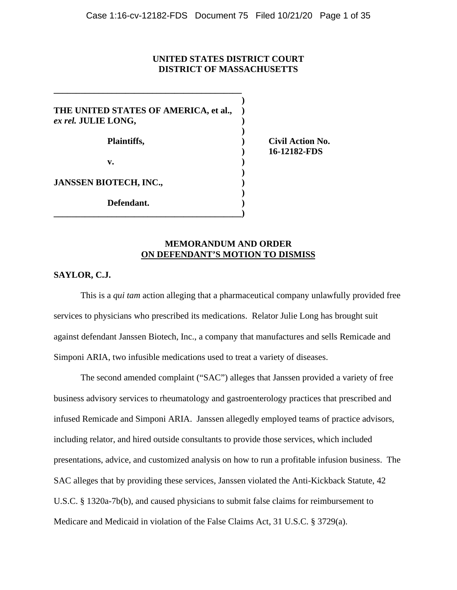## **UNITED STATES DISTRICT COURT DISTRICT OF MASSACHUSETTS**

**)**

**)**

**)**

**)**

**THE UNITED STATES OF AMERICA, et al., )** *ex rel.* **JULIE LONG, ) Plaintiffs, ) Civil Action No. v. ) JANSSEN BIOTECH, INC., ) Defendant. ) \_\_\_\_\_\_\_\_\_\_\_\_\_\_\_\_\_\_\_\_\_\_\_\_\_\_\_\_\_\_\_\_\_\_\_\_\_\_\_\_\_\_)**

**\_\_\_\_\_\_\_\_\_\_\_\_\_\_\_\_\_\_\_\_\_\_\_\_\_\_\_\_\_\_\_\_\_\_\_\_\_\_\_\_\_\_**

**) 16-12182-FDS**

## **MEMORANDUM AND ORDER ON DEFENDANT'S MOTION TO DISMISS**

## **SAYLOR, C.J.**

This is a *qui tam* action alleging that a pharmaceutical company unlawfully provided free services to physicians who prescribed its medications. Relator Julie Long has brought suit against defendant Janssen Biotech, Inc., a company that manufactures and sells Remicade and Simponi ARIA, two infusible medications used to treat a variety of diseases.

The second amended complaint ("SAC") alleges that Janssen provided a variety of free business advisory services to rheumatology and gastroenterology practices that prescribed and infused Remicade and Simponi ARIA. Janssen allegedly employed teams of practice advisors, including relator, and hired outside consultants to provide those services, which included presentations, advice, and customized analysis on how to run a profitable infusion business. The SAC alleges that by providing these services, Janssen violated the Anti-Kickback Statute, 42 U.S.C. § 1320a-7b(b), and caused physicians to submit false claims for reimbursement to Medicare and Medicaid in violation of the False Claims Act, 31 U.S.C. § 3729(a).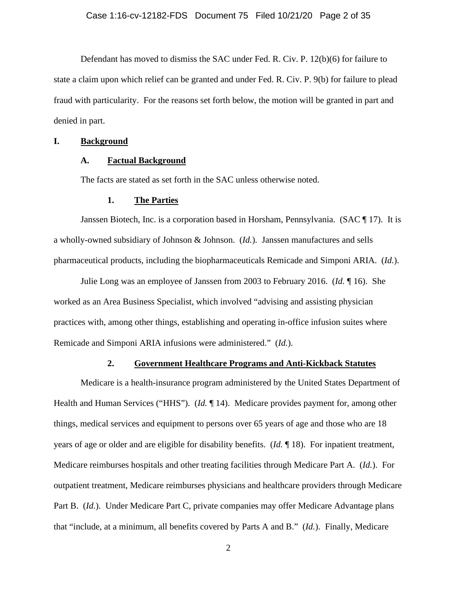Defendant has moved to dismiss the SAC under Fed. R. Civ. P. 12(b)(6) for failure to state a claim upon which relief can be granted and under Fed. R. Civ. P. 9(b) for failure to plead fraud with particularity. For the reasons set forth below, the motion will be granted in part and denied in part.

### **I. Background**

### **A. Factual Background**

The facts are stated as set forth in the SAC unless otherwise noted.

### **1. The Parties**

Janssen Biotech, Inc. is a corporation based in Horsham, Pennsylvania. (SAC ¶ 17). It is a wholly-owned subsidiary of Johnson & Johnson. (*Id.*). Janssen manufactures and sells pharmaceutical products, including the biopharmaceuticals Remicade and Simponi ARIA. (*Id.*).

Julie Long was an employee of Janssen from 2003 to February 2016. (*Id.* ¶ 16). She worked as an Area Business Specialist, which involved "advising and assisting physician practices with, among other things, establishing and operating in-office infusion suites where Remicade and Simponi ARIA infusions were administered." (*Id.*).

### **2. Government Healthcare Programs and Anti-Kickback Statutes**

Medicare is a health-insurance program administered by the United States Department of Health and Human Services ("HHS"). (*Id.* ¶ 14). Medicare provides payment for, among other things, medical services and equipment to persons over 65 years of age and those who are 18 years of age or older and are eligible for disability benefits. (*Id.* ¶ 18). For inpatient treatment, Medicare reimburses hospitals and other treating facilities through Medicare Part A. (*Id.*). For outpatient treatment, Medicare reimburses physicians and healthcare providers through Medicare Part B. (*Id.*). Under Medicare Part C, private companies may offer Medicare Advantage plans that "include, at a minimum, all benefits covered by Parts A and B." (*Id.*). Finally, Medicare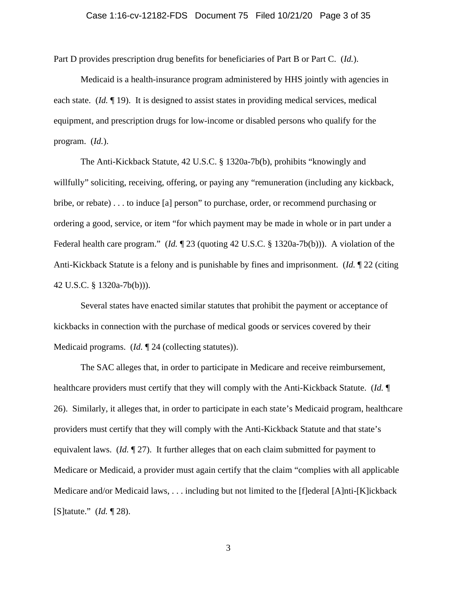Part D provides prescription drug benefits for beneficiaries of Part B or Part C. (*Id.*).

Medicaid is a health-insurance program administered by HHS jointly with agencies in each state. (*Id.* ¶ 19). It is designed to assist states in providing medical services, medical equipment, and prescription drugs for low-income or disabled persons who qualify for the program. (*Id.*).

The Anti-Kickback Statute, 42 U.S.C. § 1320a-7b(b), prohibits "knowingly and willfully" soliciting, receiving, offering, or paying any "remuneration (including any kickback, bribe, or rebate) . . . to induce [a] person" to purchase, order, or recommend purchasing or ordering a good, service, or item "for which payment may be made in whole or in part under a Federal health care program." (*Id.* ¶ 23 (quoting 42 U.S.C. § 1320a-7b(b))). A violation of the Anti-Kickback Statute is a felony and is punishable by fines and imprisonment. (*Id.* ¶ 22 (citing 42 U.S.C. § 1320a-7b(b))).

Several states have enacted similar statutes that prohibit the payment or acceptance of kickbacks in connection with the purchase of medical goods or services covered by their Medicaid programs. (*Id.* 124 (collecting statutes)).

The SAC alleges that, in order to participate in Medicare and receive reimbursement, healthcare providers must certify that they will comply with the Anti-Kickback Statute. (*Id.* ¶ 26). Similarly, it alleges that, in order to participate in each state's Medicaid program, healthcare providers must certify that they will comply with the Anti-Kickback Statute and that state's equivalent laws. (*Id.* ¶ 27). It further alleges that on each claim submitted for payment to Medicare or Medicaid, a provider must again certify that the claim "complies with all applicable Medicare and/or Medicaid laws, . . . including but not limited to the [f]ederal [A]nti-[K]ickback [S]tatute." (*Id.* ¶ 28).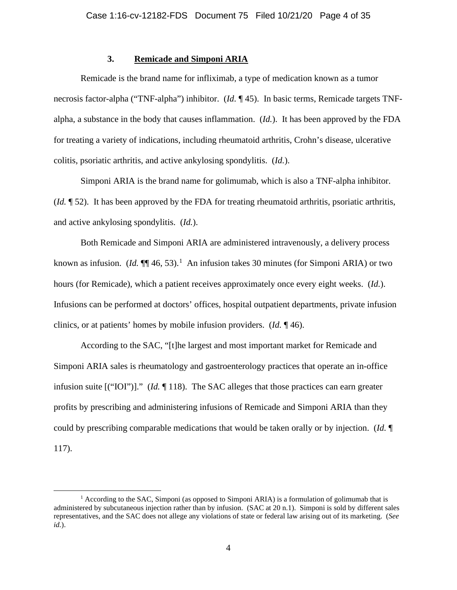## **3. Remicade and Simponi ARIA**

Remicade is the brand name for infliximab, a type of medication known as a tumor necrosis factor-alpha ("TNF-alpha") inhibitor. (*Id.* ¶ 45). In basic terms, Remicade targets TNFalpha, a substance in the body that causes inflammation. (*Id.*). It has been approved by the FDA for treating a variety of indications, including rheumatoid arthritis, Crohn's disease, ulcerative colitis, psoriatic arthritis, and active ankylosing spondylitis. (*Id.*).

Simponi ARIA is the brand name for golimumab, which is also a TNF-alpha inhibitor. (*Id.* ¶ 52). It has been approved by the FDA for treating rheumatoid arthritis, psoriatic arthritis, and active ankylosing spondylitis. (*Id.*).

Both Remicade and Simponi ARIA are administered intravenously, a delivery process known as infusion.  $(Id. \P\P 46, 53).$ <sup>1</sup> An infusion takes 30 minutes (for Simponi ARIA) or two hours (for Remicade), which a patient receives approximately once every eight weeks. (*Id.*). Infusions can be performed at doctors' offices, hospital outpatient departments, private infusion clinics, or at patients' homes by mobile infusion providers. (*Id.* ¶ 46).

According to the SAC, "[t]he largest and most important market for Remicade and Simponi ARIA sales is rheumatology and gastroenterology practices that operate an in-office infusion suite [("IOI")]." (*Id.* ¶ 118). The SAC alleges that those practices can earn greater profits by prescribing and administering infusions of Remicade and Simponi ARIA than they could by prescribing comparable medications that would be taken orally or by injection. (*Id.* ¶ 117).

<sup>&</sup>lt;sup>1</sup> According to the SAC, Simponi (as opposed to Simponi ARIA) is a formulation of golimumab that is administered by subcutaneous injection rather than by infusion. (SAC at 20 n.1). Simponi is sold by different sales representatives, and the SAC does not allege any violations of state or federal law arising out of its marketing. (*See id.*).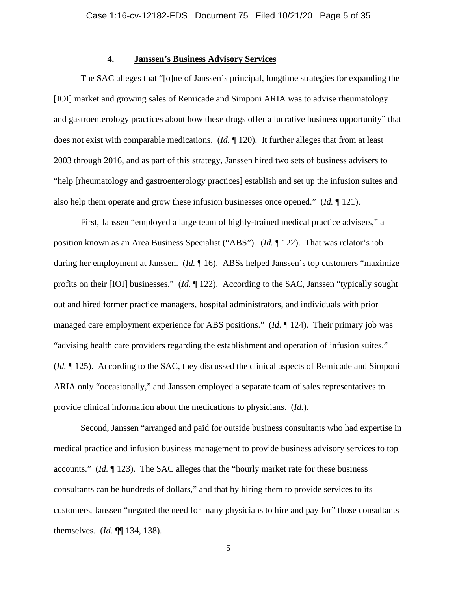## **4. Janssen's Business Advisory Services**

The SAC alleges that "[o]ne of Janssen's principal, longtime strategies for expanding the [IOI] market and growing sales of Remicade and Simponi ARIA was to advise rheumatology and gastroenterology practices about how these drugs offer a lucrative business opportunity" that does not exist with comparable medications. (*Id.* ¶ 120). It further alleges that from at least 2003 through 2016, and as part of this strategy, Janssen hired two sets of business advisers to "help [rheumatology and gastroenterology practices] establish and set up the infusion suites and also help them operate and grow these infusion businesses once opened." (*Id.* ¶ 121).

First, Janssen "employed a large team of highly-trained medical practice advisers," a position known as an Area Business Specialist ("ABS"). (*Id.* ¶ 122). That was relator's job during her employment at Janssen. (*Id.* ¶ 16). ABSs helped Janssen's top customers "maximize profits on their [IOI] businesses." (*Id.* ¶ 122). According to the SAC, Janssen "typically sought out and hired former practice managers, hospital administrators, and individuals with prior managed care employment experience for ABS positions." (*Id.* ¶ 124). Their primary job was "advising health care providers regarding the establishment and operation of infusion suites." (*Id.* ¶ 125). According to the SAC, they discussed the clinical aspects of Remicade and Simponi ARIA only "occasionally," and Janssen employed a separate team of sales representatives to provide clinical information about the medications to physicians. (*Id.*).

Second, Janssen "arranged and paid for outside business consultants who had expertise in medical practice and infusion business management to provide business advisory services to top accounts." (*Id.* ¶ 123). The SAC alleges that the "hourly market rate for these business consultants can be hundreds of dollars," and that by hiring them to provide services to its customers, Janssen "negated the need for many physicians to hire and pay for" those consultants themselves. (*Id.* ¶¶ 134, 138).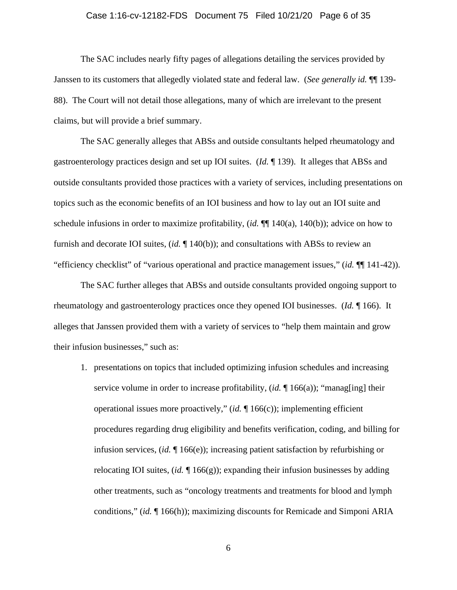### Case 1:16-cv-12182-FDS Document 75 Filed 10/21/20 Page 6 of 35

The SAC includes nearly fifty pages of allegations detailing the services provided by Janssen to its customers that allegedly violated state and federal law. (*See generally id.* ¶¶ 139- 88). The Court will not detail those allegations, many of which are irrelevant to the present claims, but will provide a brief summary.

The SAC generally alleges that ABSs and outside consultants helped rheumatology and gastroenterology practices design and set up IOI suites. (*Id.* ¶ 139). It alleges that ABSs and outside consultants provided those practices with a variety of services, including presentations on topics such as the economic benefits of an IOI business and how to lay out an IOI suite and schedule infusions in order to maximize profitability, (*id.* ¶¶ 140(a), 140(b)); advice on how to furnish and decorate IOI suites, (*id.* ¶ 140(b)); and consultations with ABSs to review an "efficiency checklist" of "various operational and practice management issues," (*id.* ¶¶ 141-42)).

The SAC further alleges that ABSs and outside consultants provided ongoing support to rheumatology and gastroenterology practices once they opened IOI businesses. (*Id.* ¶ 166). It alleges that Janssen provided them with a variety of services to "help them maintain and grow their infusion businesses," such as:

1. presentations on topics that included optimizing infusion schedules and increasing service volume in order to increase profitability, (*id.* ¶ 166(a)); "manag[ing] their operational issues more proactively," (*id.* ¶ 166(c)); implementing efficient procedures regarding drug eligibility and benefits verification, coding, and billing for infusion services, (*id.* ¶ 166(e)); increasing patient satisfaction by refurbishing or relocating IOI suites, (*id.* ¶ 166(g)); expanding their infusion businesses by adding other treatments, such as "oncology treatments and treatments for blood and lymph conditions," (*id.* ¶ 166(h)); maximizing discounts for Remicade and Simponi ARIA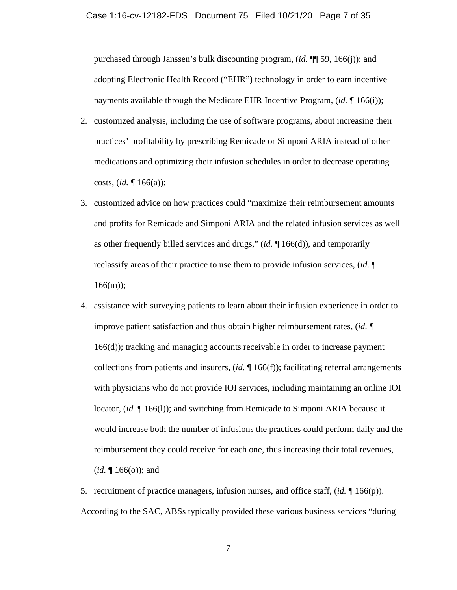purchased through Janssen's bulk discounting program, (*id.* ¶¶ 59, 166(j)); and adopting Electronic Health Record ("EHR") technology in order to earn incentive payments available through the Medicare EHR Incentive Program, (*id.* ¶ 166(i));

- 2. customized analysis, including the use of software programs, about increasing their practices' profitability by prescribing Remicade or Simponi ARIA instead of other medications and optimizing their infusion schedules in order to decrease operating costs, (*id.* ¶ 166(a));
- 3. customized advice on how practices could "maximize their reimbursement amounts and profits for Remicade and Simponi ARIA and the related infusion services as well as other frequently billed services and drugs," (*id.* ¶ 166(d)), and temporarily reclassify areas of their practice to use them to provide infusion services, (*id.* ¶  $166(m)$ ;
- 4. assistance with surveying patients to learn about their infusion experience in order to improve patient satisfaction and thus obtain higher reimbursement rates, (*id.* ¶ 166(d)); tracking and managing accounts receivable in order to increase payment collections from patients and insurers, (*id.* ¶ 166(f)); facilitating referral arrangements with physicians who do not provide IOI services, including maintaining an online IOI locator, (*id.* ¶ 166(l)); and switching from Remicade to Simponi ARIA because it would increase both the number of infusions the practices could perform daily and the reimbursement they could receive for each one, thus increasing their total revenues,  $(id. \P 166(o))$ ; and

5. recruitment of practice managers, infusion nurses, and office staff, (*id.* ¶ 166(p)). According to the SAC, ABSs typically provided these various business services "during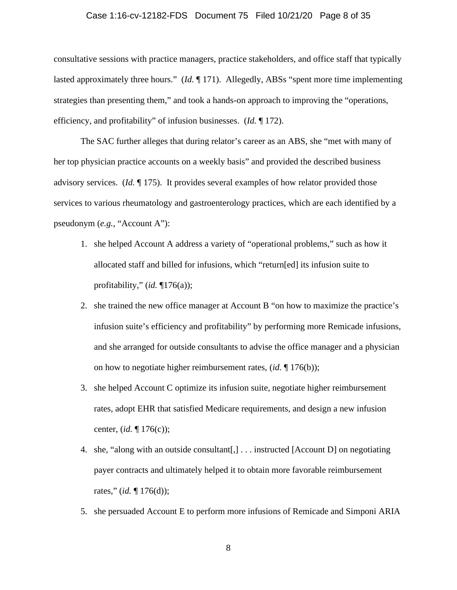# Case 1:16-cv-12182-FDS Document 75 Filed 10/21/20 Page 8 of 35

consultative sessions with practice managers, practice stakeholders, and office staff that typically lasted approximately three hours." (*Id.* ¶ 171). Allegedly, ABSs "spent more time implementing strategies than presenting them," and took a hands-on approach to improving the "operations, efficiency, and profitability" of infusion businesses. (*Id.* ¶ 172).

The SAC further alleges that during relator's career as an ABS, she "met with many of her top physician practice accounts on a weekly basis" and provided the described business advisory services. (*Id.* ¶ 175). It provides several examples of how relator provided those services to various rheumatology and gastroenterology practices, which are each identified by a pseudonym (*e.g.*, "Account A"):

- 1. she helped Account A address a variety of "operational problems," such as how it allocated staff and billed for infusions, which "return[ed] its infusion suite to profitability," (*id.* ¶176(a));
- 2. she trained the new office manager at Account B "on how to maximize the practice's infusion suite's efficiency and profitability" by performing more Remicade infusions, and she arranged for outside consultants to advise the office manager and a physician on how to negotiate higher reimbursement rates, (*id.* ¶ 176(b));
- 3. she helped Account C optimize its infusion suite, negotiate higher reimbursement rates, adopt EHR that satisfied Medicare requirements, and design a new infusion center, (*id.* ¶ 176(c));
- 4. she, "along with an outside consultant[,] . . . instructed [Account D] on negotiating payer contracts and ultimately helped it to obtain more favorable reimbursement rates," (*id.* ¶ 176(d));
- 5. she persuaded Account E to perform more infusions of Remicade and Simponi ARIA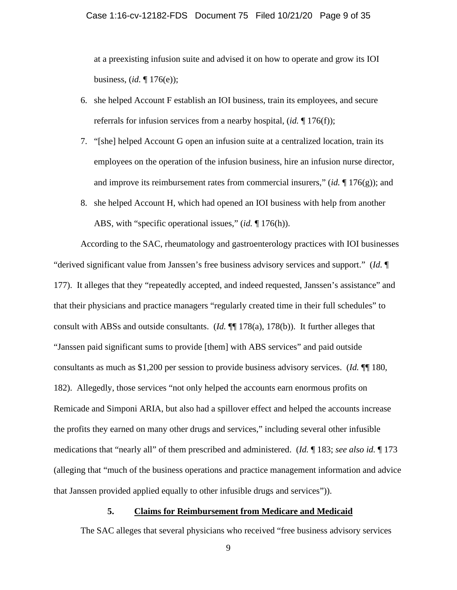at a preexisting infusion suite and advised it on how to operate and grow its IOI business, (*id.* ¶ 176(e));

- 6. she helped Account F establish an IOI business, train its employees, and secure referrals for infusion services from a nearby hospital, (*id.* ¶ 176(f));
- 7. "[she] helped Account G open an infusion suite at a centralized location, train its employees on the operation of the infusion business, hire an infusion nurse director, and improve its reimbursement rates from commercial insurers," (*id.* ¶ 176(g)); and
- 8. she helped Account H, which had opened an IOI business with help from another ABS, with "specific operational issues," (*id.* ¶ 176(h)).

According to the SAC, rheumatology and gastroenterology practices with IOI businesses "derived significant value from Janssen's free business advisory services and support." (*Id.* ¶ 177). It alleges that they "repeatedly accepted, and indeed requested, Janssen's assistance" and that their physicians and practice managers "regularly created time in their full schedules" to consult with ABSs and outside consultants. (*Id.* ¶¶ 178(a), 178(b)). It further alleges that "Janssen paid significant sums to provide [them] with ABS services" and paid outside consultants as much as \$1,200 per session to provide business advisory services. (*Id.* ¶¶ 180, 182). Allegedly, those services "not only helped the accounts earn enormous profits on Remicade and Simponi ARIA, but also had a spillover effect and helped the accounts increase the profits they earned on many other drugs and services," including several other infusible medications that "nearly all" of them prescribed and administered. (*Id.* ¶ 183; *see also id.* ¶ 173 (alleging that "much of the business operations and practice management information and advice that Janssen provided applied equally to other infusible drugs and services")).

### **5. Claims for Reimbursement from Medicare and Medicaid**

The SAC alleges that several physicians who received "free business advisory services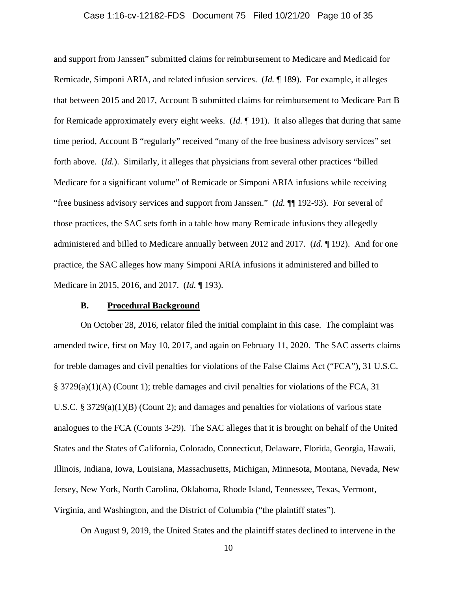### Case 1:16-cv-12182-FDS Document 75 Filed 10/21/20 Page 10 of 35

and support from Janssen" submitted claims for reimbursement to Medicare and Medicaid for Remicade, Simponi ARIA, and related infusion services. (*Id.* ¶ 189). For example, it alleges that between 2015 and 2017, Account B submitted claims for reimbursement to Medicare Part B for Remicade approximately every eight weeks. (*Id.* ¶ 191). It also alleges that during that same time period, Account B "regularly" received "many of the free business advisory services" set forth above. (*Id.*). Similarly, it alleges that physicians from several other practices "billed Medicare for a significant volume" of Remicade or Simponi ARIA infusions while receiving "free business advisory services and support from Janssen." (*Id.* ¶¶ 192-93). For several of those practices, the SAC sets forth in a table how many Remicade infusions they allegedly administered and billed to Medicare annually between 2012 and 2017. (*Id.* ¶ 192). And for one practice, the SAC alleges how many Simponi ARIA infusions it administered and billed to Medicare in 2015, 2016, and 2017. (*Id.* ¶ 193).

### **B. Procedural Background**

On October 28, 2016, relator filed the initial complaint in this case. The complaint was amended twice, first on May 10, 2017, and again on February 11, 2020. The SAC asserts claims for treble damages and civil penalties for violations of the False Claims Act ("FCA"), 31 U.S.C. § 3729(a)(1)(A) (Count 1); treble damages and civil penalties for violations of the FCA, 31 U.S.C. § 3729(a)(1)(B) (Count 2); and damages and penalties for violations of various state analogues to the FCA (Counts 3-29). The SAC alleges that it is brought on behalf of the United States and the States of California, Colorado, Connecticut, Delaware, Florida, Georgia, Hawaii, Illinois, Indiana, Iowa, Louisiana, Massachusetts, Michigan, Minnesota, Montana, Nevada, New Jersey, New York, North Carolina, Oklahoma, Rhode Island, Tennessee, Texas, Vermont, Virginia, and Washington, and the District of Columbia ("the plaintiff states").

On August 9, 2019, the United States and the plaintiff states declined to intervene in the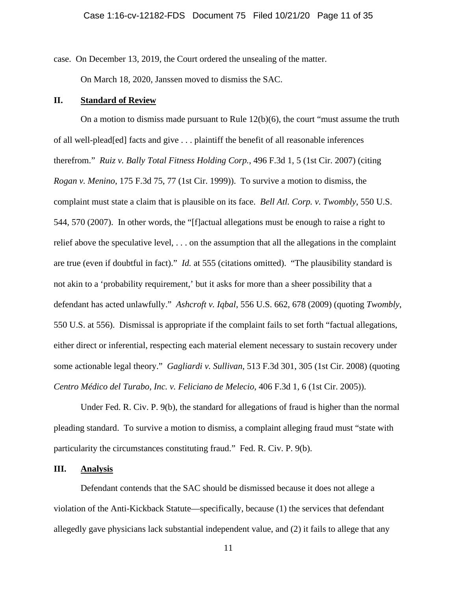case. On December 13, 2019, the Court ordered the unsealing of the matter. On March 18, 2020, Janssen moved to dismiss the SAC.

## **II. Standard of Review**

On a motion to dismiss made pursuant to Rule 12(b)(6), the court "must assume the truth of all well-plead[ed] facts and give . . . plaintiff the benefit of all reasonable inferences therefrom." *Ruiz v. Bally Total Fitness Holding Corp.*, 496 F.3d 1, 5 (1st Cir. 2007) (citing *Rogan v. Menino*, 175 F.3d 75, 77 (1st Cir. 1999)). To survive a motion to dismiss, the complaint must state a claim that is plausible on its face. *Bell Atl. Corp. v. Twombly*, 550 U.S. 544, 570 (2007). In other words, the "[f]actual allegations must be enough to raise a right to relief above the speculative level, . . . on the assumption that all the allegations in the complaint are true (even if doubtful in fact)." *Id.* at 555 (citations omitted). "The plausibility standard is not akin to a 'probability requirement,' but it asks for more than a sheer possibility that a defendant has acted unlawfully." *Ashcroft v. Iqbal*, 556 U.S. 662, 678 (2009) (quoting *Twombly*, 550 U.S. at 556). Dismissal is appropriate if the complaint fails to set forth "factual allegations, either direct or inferential, respecting each material element necessary to sustain recovery under some actionable legal theory." *Gagliardi v. Sullivan*, 513 F.3d 301, 305 (1st Cir. 2008) (quoting *Centro Médico del Turabo, Inc. v. Feliciano de Melecio*, 406 F.3d 1, 6 (1st Cir. 2005)).

Under Fed. R. Civ. P. 9(b), the standard for allegations of fraud is higher than the normal pleading standard. To survive a motion to dismiss, a complaint alleging fraud must "state with particularity the circumstances constituting fraud." Fed. R. Civ. P. 9(b).

## **III. Analysis**

Defendant contends that the SAC should be dismissed because it does not allege a violation of the Anti-Kickback Statute—specifically, because (1) the services that defendant allegedly gave physicians lack substantial independent value, and (2) it fails to allege that any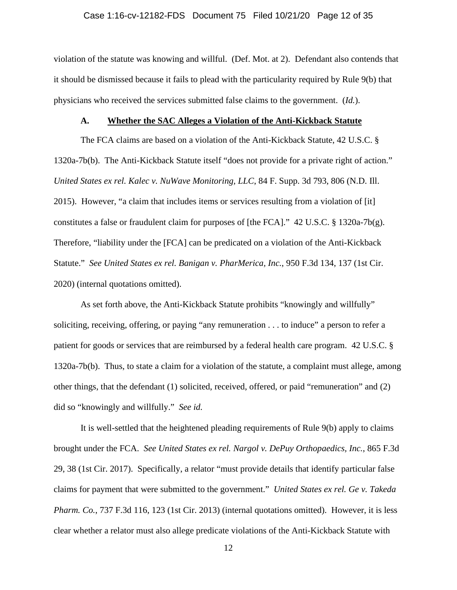### Case 1:16-cv-12182-FDS Document 75 Filed 10/21/20 Page 12 of 35

violation of the statute was knowing and willful. (Def. Mot. at 2). Defendant also contends that it should be dismissed because it fails to plead with the particularity required by Rule 9(b) that physicians who received the services submitted false claims to the government. (*Id.*).

### **A. Whether the SAC Alleges a Violation of the Anti-Kickback Statute**

The FCA claims are based on a violation of the Anti-Kickback Statute, 42 U.S.C. § 1320a-7b(b). The Anti-Kickback Statute itself "does not provide for a private right of action." *United States ex rel. Kalec v. NuWave Monitoring, LLC*, 84 F. Supp. 3d 793, 806 (N.D. Ill. 2015). However, "a claim that includes items or services resulting from a violation of [it] constitutes a false or fraudulent claim for purposes of [the FCA]." 42 U.S.C. § 1320a-7b(g). Therefore, "liability under the [FCA] can be predicated on a violation of the Anti-Kickback Statute." *See United States ex rel. Banigan v. PharMerica, Inc.*, 950 F.3d 134, 137 (1st Cir. 2020) (internal quotations omitted).

As set forth above, the Anti-Kickback Statute prohibits "knowingly and willfully" soliciting, receiving, offering, or paying "any remuneration . . . to induce" a person to refer a patient for goods or services that are reimbursed by a federal health care program. 42 U.S.C. § 1320a-7b(b). Thus, to state a claim for a violation of the statute, a complaint must allege, among other things, that the defendant (1) solicited, received, offered, or paid "remuneration" and (2) did so "knowingly and willfully." *See id.*

It is well-settled that the heightened pleading requirements of Rule 9(b) apply to claims brought under the FCA. *See United States ex rel. Nargol v. DePuy Orthopaedics, Inc.*, 865 F.3d 29, 38 (1st Cir. 2017). Specifically, a relator "must provide details that identify particular false claims for payment that were submitted to the government." *United States ex rel. Ge v. Takeda Pharm. Co.*, 737 F.3d 116, 123 (1st Cir. 2013) (internal quotations omitted). However, it is less clear whether a relator must also allege predicate violations of the Anti-Kickback Statute with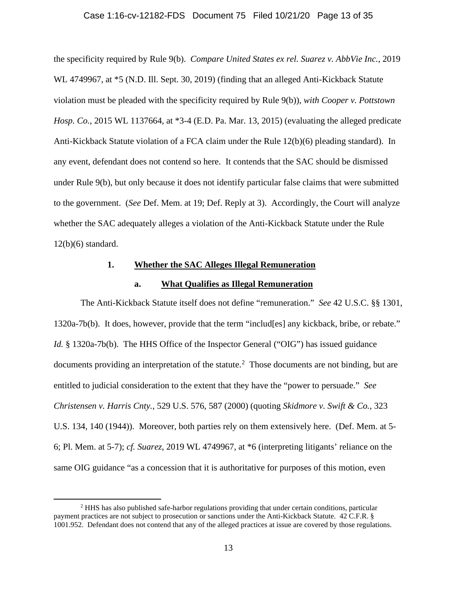## Case 1:16-cv-12182-FDS Document 75 Filed 10/21/20 Page 13 of 35

the specificity required by Rule 9(b). *Compare United States ex rel. Suarez v. AbbVie Inc.*, 2019 WL 4749967, at  $*5$  (N.D. Ill. Sept. 30, 2019) (finding that an alleged Anti-Kickback Statute violation must be pleaded with the specificity required by Rule 9(b)), *with Cooper v. Pottstown Hosp. Co.*, 2015 WL 1137664, at \*3-4 (E.D. Pa. Mar. 13, 2015) (evaluating the alleged predicate Anti-Kickback Statute violation of a FCA claim under the Rule 12(b)(6) pleading standard). In any event, defendant does not contend so here. It contends that the SAC should be dismissed under Rule 9(b), but only because it does not identify particular false claims that were submitted to the government. (*See* Def. Mem. at 19; Def. Reply at 3). Accordingly, the Court will analyze whether the SAC adequately alleges a violation of the Anti-Kickback Statute under the Rule 12(b)(6) standard.

## **1. Whether the SAC Alleges Illegal Remuneration**

### **a. What Qualifies as Illegal Remuneration**

The Anti-Kickback Statute itself does not define "remuneration." *See* 42 U.S.C. §§ 1301, 1320a-7b(b). It does, however, provide that the term "includ[es] any kickback, bribe, or rebate." *Id.* § 1320a-7b(b). The HHS Office of the Inspector General ("OIG") has issued guidance documents providing an interpretation of the statute.<sup>2</sup> Those documents are not binding, but are entitled to judicial consideration to the extent that they have the "power to persuade." *See Christensen v. Harris Cnty.*, 529 U.S. 576, 587 (2000) (quoting *Skidmore v. Swift & Co.*, 323 U.S. 134, 140 (1944)). Moreover, both parties rely on them extensively here. (Def. Mem. at 5- 6; Pl. Mem. at 5-7); *cf. Suarez*, 2019 WL 4749967, at \*6 (interpreting litigants' reliance on the same OIG guidance "as a concession that it is authoritative for purposes of this motion, even

<sup>2</sup> HHS has also published safe-harbor regulations providing that under certain conditions, particular payment practices are not subject to prosecution or sanctions under the Anti-Kickback Statute. 42 C.F.R. § 1001.952. Defendant does not contend that any of the alleged practices at issue are covered by those regulations.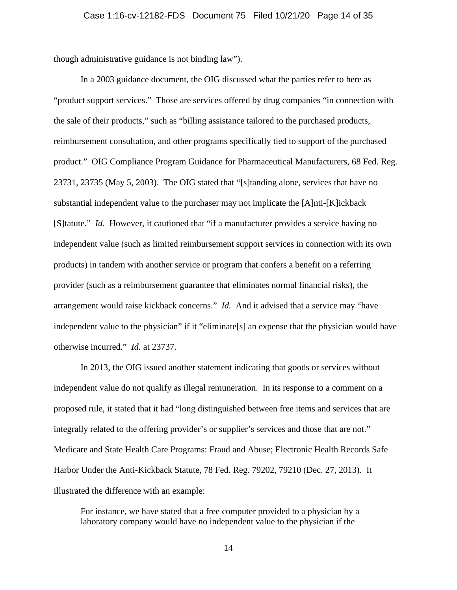though administrative guidance is not binding law").

In a 2003 guidance document, the OIG discussed what the parties refer to here as "product support services." Those are services offered by drug companies "in connection with the sale of their products," such as "billing assistance tailored to the purchased products, reimbursement consultation, and other programs specifically tied to support of the purchased product." OIG Compliance Program Guidance for Pharmaceutical Manufacturers, 68 Fed. Reg. 23731, 23735 (May 5, 2003). The OIG stated that "[s]tanding alone, services that have no substantial independent value to the purchaser may not implicate the [A]nti-[K]ickback [S]tatute." *Id.* However, it cautioned that "if a manufacturer provides a service having no independent value (such as limited reimbursement support services in connection with its own products) in tandem with another service or program that confers a benefit on a referring provider (such as a reimbursement guarantee that eliminates normal financial risks), the arrangement would raise kickback concerns." *Id.* And it advised that a service may "have independent value to the physician" if it "eliminate[s] an expense that the physician would have otherwise incurred." *Id.* at 23737.

In 2013, the OIG issued another statement indicating that goods or services without independent value do not qualify as illegal remuneration. In its response to a comment on a proposed rule, it stated that it had "long distinguished between free items and services that are integrally related to the offering provider's or supplier's services and those that are not." Medicare and State Health Care Programs: Fraud and Abuse; Electronic Health Records Safe Harbor Under the Anti-Kickback Statute, 78 Fed. Reg. 79202, 79210 (Dec. 27, 2013). It illustrated the difference with an example:

For instance, we have stated that a free computer provided to a physician by a laboratory company would have no independent value to the physician if the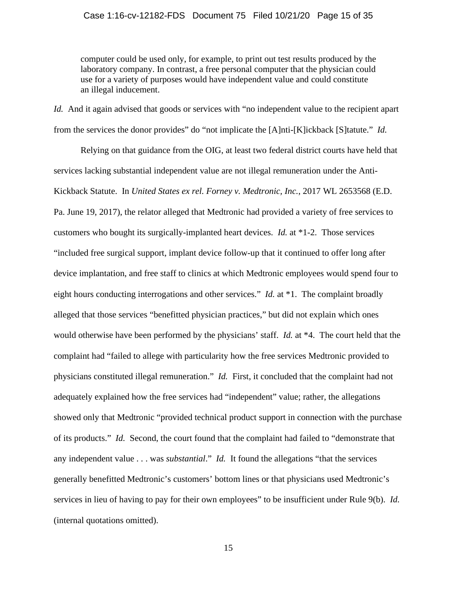### Case 1:16-cv-12182-FDS Document 75 Filed 10/21/20 Page 15 of 35

computer could be used only, for example, to print out test results produced by the laboratory company. In contrast, a free personal computer that the physician could use for a variety of purposes would have independent value and could constitute an illegal inducement.

*Id.* And it again advised that goods or services with "no independent value to the recipient apart from the services the donor provides" do "not implicate the [A]nti-[K]ickback [S]tatute." *Id.*

Relying on that guidance from the OIG, at least two federal district courts have held that services lacking substantial independent value are not illegal remuneration under the Anti-Kickback Statute. In *United States ex rel. Forney v. Medtronic, Inc.*, 2017 WL 2653568 (E.D. Pa. June 19, 2017), the relator alleged that Medtronic had provided a variety of free services to customers who bought its surgically-implanted heart devices. *Id.* at \*1-2. Those services "included free surgical support, implant device follow-up that it continued to offer long after device implantation, and free staff to clinics at which Medtronic employees would spend four to eight hours conducting interrogations and other services." *Id.* at \*1.The complaint broadly alleged that those services "benefitted physician practices," but did not explain which ones would otherwise have been performed by the physicians' staff. *Id.* at \*4. The court held that the complaint had "failed to allege with particularity how the free services Medtronic provided to physicians constituted illegal remuneration." *Id.* First, it concluded that the complaint had not adequately explained how the free services had "independent" value; rather, the allegations showed only that Medtronic "provided technical product support in connection with the purchase of its products." *Id.* Second, the court found that the complaint had failed to "demonstrate that any independent value . . . was *substantial*." *Id.* It found the allegations "that the services generally benefitted Medtronic's customers' bottom lines or that physicians used Medtronic's services in lieu of having to pay for their own employees" to be insufficient under Rule 9(b). *Id.* (internal quotations omitted).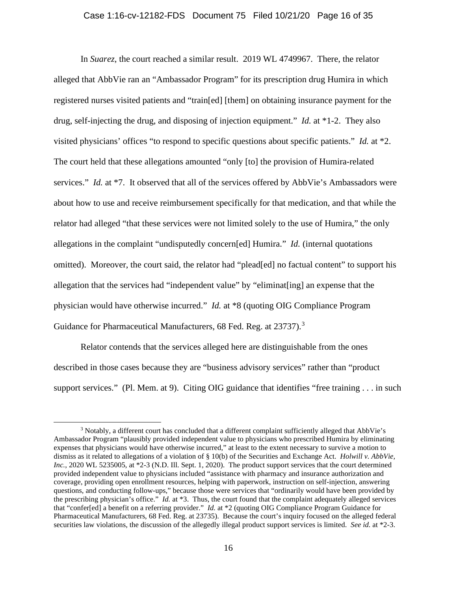#### Case 1:16-cv-12182-FDS Document 75 Filed 10/21/20 Page 16 of 35

In *Suarez*, the court reached a similar result. 2019 WL 4749967. There, the relator alleged that AbbVie ran an "Ambassador Program" for its prescription drug Humira in which registered nurses visited patients and "train[ed] [them] on obtaining insurance payment for the drug, self-injecting the drug, and disposing of injection equipment." *Id.* at \*1-2. They also visited physicians' offices "to respond to specific questions about specific patients." *Id.* at \*2. The court held that these allegations amounted "only [to] the provision of Humira-related services." *Id.* at \*7. It observed that all of the services offered by AbbVie's Ambassadors were about how to use and receive reimbursement specifically for that medication, and that while the relator had alleged "that these services were not limited solely to the use of Humira," the only allegations in the complaint "undisputedly concern[ed] Humira." *Id.* (internal quotations omitted). Moreover, the court said, the relator had "plead[ed] no factual content" to support his allegation that the services had "independent value" by "eliminat[ing] an expense that the physician would have otherwise incurred." *Id.* at \*8 (quoting OIG Compliance Program Guidance for Pharmaceutical Manufacturers, 68 Fed. Reg. at 23737).<sup>3</sup>

Relator contends that the services alleged here are distinguishable from the ones described in those cases because they are "business advisory services" rather than "product support services." (Pl. Mem. at 9). Citing OIG guidance that identifies "free training . . . in such

<sup>&</sup>lt;sup>3</sup> Notably, a different court has concluded that a different complaint sufficiently alleged that AbbVie's Ambassador Program "plausibly provided independent value to physicians who prescribed Humira by eliminating expenses that physicians would have otherwise incurred," at least to the extent necessary to survive a motion to dismiss as it related to allegations of a violation of § 10(b) of the Securities and Exchange Act. *Holwill v. AbbVie, Inc.*, 2020 WL 5235005, at \*2-3 (N.D. Ill. Sept. 1, 2020). The product support services that the court determined provided independent value to physicians included "assistance with pharmacy and insurance authorization and coverage, providing open enrollment resources, helping with paperwork, instruction on self-injection, answering questions, and conducting follow-ups," because those were services that "ordinarily would have been provided by the prescribing physician's office." *Id.* at \*3.Thus, the court found that the complaint adequately alleged services that "confer[ed] a benefit on a referring provider." *Id.* at \*2 (quoting OIG Compliance Program Guidance for Pharmaceutical Manufacturers, 68 Fed. Reg. at 23735). Because the court's inquiry focused on the alleged federal securities law violations, the discussion of the allegedly illegal product support services is limited. *See id.* at \*2-3.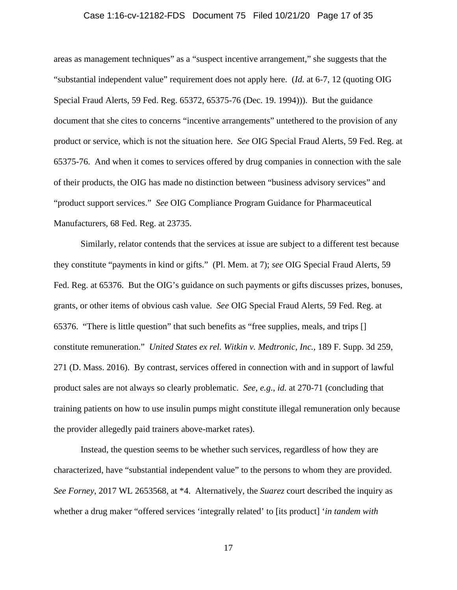### Case 1:16-cv-12182-FDS Document 75 Filed 10/21/20 Page 17 of 35

areas as management techniques" as a "suspect incentive arrangement," she suggests that the "substantial independent value" requirement does not apply here. (*Id.* at 6-7, 12 (quoting OIG Special Fraud Alerts, 59 Fed. Reg. 65372, 65375-76 (Dec. 19. 1994))). But the guidance document that she cites to concerns "incentive arrangements" untethered to the provision of any product or service, which is not the situation here. *See* OIG Special Fraud Alerts, 59 Fed. Reg. at 65375-76. And when it comes to services offered by drug companies in connection with the sale of their products, the OIG has made no distinction between "business advisory services" and "product support services." *See* OIG Compliance Program Guidance for Pharmaceutical Manufacturers, 68 Fed. Reg. at 23735.

Similarly, relator contends that the services at issue are subject to a different test because they constitute "payments in kind or gifts." (Pl. Mem. at 7); *see* OIG Special Fraud Alerts, 59 Fed. Reg. at 65376. But the OIG's guidance on such payments or gifts discusses prizes, bonuses, grants, or other items of obvious cash value. *See* OIG Special Fraud Alerts, 59 Fed. Reg. at 65376. "There is little question" that such benefits as "free supplies, meals, and trips [] constitute remuneration." *United States ex rel. Witkin v. Medtronic, Inc.*, 189 F. Supp. 3d 259, 271 (D. Mass. 2016). By contrast, services offered in connection with and in support of lawful product sales are not always so clearly problematic. *See, e.g.*, *id.* at 270-71 (concluding that training patients on how to use insulin pumps might constitute illegal remuneration only because the provider allegedly paid trainers above-market rates).

Instead, the question seems to be whether such services, regardless of how they are characterized, have "substantial independent value" to the persons to whom they are provided. *See Forney*, 2017 WL 2653568, at \*4. Alternatively, the *Suarez* court described the inquiry as whether a drug maker "offered services 'integrally related' to [its product] '*in tandem with*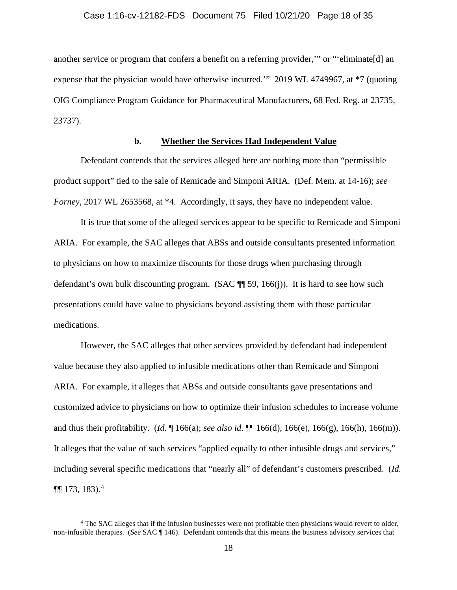another service or program that confers a benefit on a referring provider,'" or "'eliminate[d] an expense that the physician would have otherwise incurred.'" 2019 WL 4749967, at \*7 (quoting OIG Compliance Program Guidance for Pharmaceutical Manufacturers, 68 Fed. Reg. at 23735, 23737).

# **b. Whether the Services Had Independent Value**

Defendant contends that the services alleged here are nothing more than "permissible product support" tied to the sale of Remicade and Simponi ARIA. (Def. Mem. at 14-16); *see Forney*, 2017 WL 2653568, at \*4. Accordingly, it says, they have no independent value.

It is true that some of the alleged services appear to be specific to Remicade and Simponi ARIA. For example, the SAC alleges that ABSs and outside consultants presented information to physicians on how to maximize discounts for those drugs when purchasing through defendant's own bulk discounting program. (SAC  $\P$  59, 166(j)). It is hard to see how such presentations could have value to physicians beyond assisting them with those particular medications.

However, the SAC alleges that other services provided by defendant had independent value because they also applied to infusible medications other than Remicade and Simponi ARIA. For example, it alleges that ABSs and outside consultants gave presentations and customized advice to physicians on how to optimize their infusion schedules to increase volume and thus their profitability. (*Id.* ¶ 166(a); *see also id.* ¶¶ 166(d), 166(e), 166(g), 166(h), 166(m)). It alleges that the value of such services "applied equally to other infusible drugs and services," including several specific medications that "nearly all" of defendant's customers prescribed. (*Id.*  $\P\P$  173, 183).<sup>4</sup>

<sup>4</sup> The SAC alleges that if the infusion businesses were not profitable then physicians would revert to older, non-infusible therapies. (*See* SAC ¶ 146). Defendant contends that this means the business advisory services that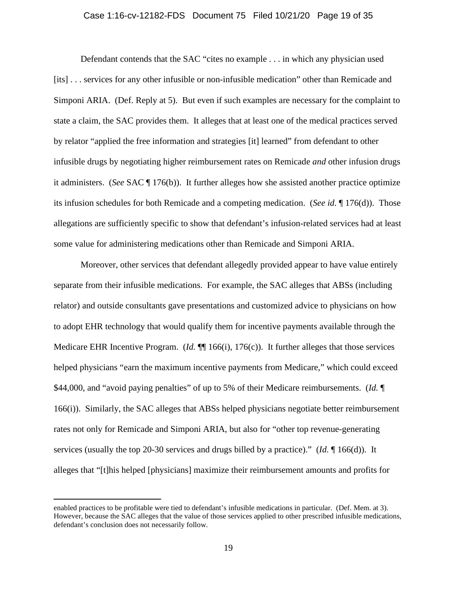### Case 1:16-cv-12182-FDS Document 75 Filed 10/21/20 Page 19 of 35

Defendant contends that the SAC "cites no example . . . in which any physician used [its] . . . services for any other infusible or non-infusible medication" other than Remicade and Simponi ARIA. (Def. Reply at 5). But even if such examples are necessary for the complaint to state a claim, the SAC provides them. It alleges that at least one of the medical practices served by relator "applied the free information and strategies [it] learned" from defendant to other infusible drugs by negotiating higher reimbursement rates on Remicade *and* other infusion drugs it administers. (*See* SAC ¶ 176(b)). It further alleges how she assisted another practice optimize its infusion schedules for both Remicade and a competing medication. (*See id.* ¶ 176(d)). Those allegations are sufficiently specific to show that defendant's infusion-related services had at least some value for administering medications other than Remicade and Simponi ARIA.

Moreover, other services that defendant allegedly provided appear to have value entirely separate from their infusible medications. For example, the SAC alleges that ABSs (including relator) and outside consultants gave presentations and customized advice to physicians on how to adopt EHR technology that would qualify them for incentive payments available through the Medicare EHR Incentive Program. (*Id.* ¶ 166(i), 176(c)). It further alleges that those services helped physicians "earn the maximum incentive payments from Medicare," which could exceed \$44,000, and "avoid paying penalties" of up to 5% of their Medicare reimbursements. (*Id.* ¶ 166(i)). Similarly, the SAC alleges that ABSs helped physicians negotiate better reimbursement rates not only for Remicade and Simponi ARIA, but also for "other top revenue-generating services (usually the top 20-30 services and drugs billed by a practice)." (*Id.* ¶ 166(d)). It alleges that "[t]his helped [physicians] maximize their reimbursement amounts and profits for

enabled practices to be profitable were tied to defendant's infusible medications in particular. (Def. Mem. at 3). However, because the SAC alleges that the value of those services applied to other prescribed infusible medications, defendant's conclusion does not necessarily follow.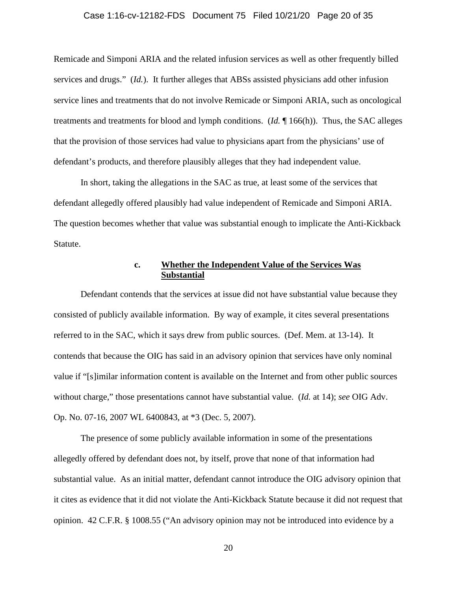### Case 1:16-cv-12182-FDS Document 75 Filed 10/21/20 Page 20 of 35

Remicade and Simponi ARIA and the related infusion services as well as other frequently billed services and drugs." (*Id.*). It further alleges that ABSs assisted physicians add other infusion service lines and treatments that do not involve Remicade or Simponi ARIA, such as oncological treatments and treatments for blood and lymph conditions. (*Id.* ¶ 166(h)). Thus, the SAC alleges that the provision of those services had value to physicians apart from the physicians' use of defendant's products, and therefore plausibly alleges that they had independent value.

In short, taking the allegations in the SAC as true, at least some of the services that defendant allegedly offered plausibly had value independent of Remicade and Simponi ARIA. The question becomes whether that value was substantial enough to implicate the Anti-Kickback Statute.

## **c. Whether the Independent Value of the Services Was Substantial**

Defendant contends that the services at issue did not have substantial value because they consisted of publicly available information. By way of example, it cites several presentations referred to in the SAC, which it says drew from public sources. (Def. Mem. at 13-14). It contends that because the OIG has said in an advisory opinion that services have only nominal value if "[s]imilar information content is available on the Internet and from other public sources without charge," those presentations cannot have substantial value. (*Id.* at 14); *see* OIG Adv. Op. No. 07-16, 2007 WL 6400843, at \*3 (Dec. 5, 2007).

The presence of some publicly available information in some of the presentations allegedly offered by defendant does not, by itself, prove that none of that information had substantial value. As an initial matter, defendant cannot introduce the OIG advisory opinion that it cites as evidence that it did not violate the Anti-Kickback Statute because it did not request that opinion. 42 C.F.R. § 1008.55 ("An advisory opinion may not be introduced into evidence by a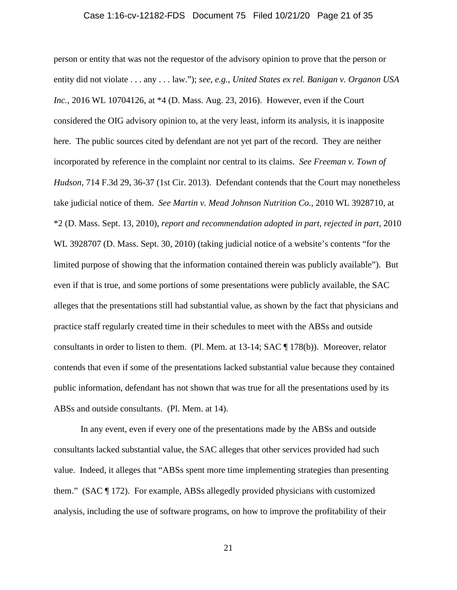### Case 1:16-cv-12182-FDS Document 75 Filed 10/21/20 Page 21 of 35

person or entity that was not the requestor of the advisory opinion to prove that the person or entity did not violate . . . any . . . law."); *see, e.g.*, *United States ex rel. Banigan v. Organon USA Inc.*, 2016 WL 10704126, at \*4 (D. Mass. Aug. 23, 2016). However, even if the Court considered the OIG advisory opinion to, at the very least, inform its analysis, it is inapposite here. The public sources cited by defendant are not yet part of the record. They are neither incorporated by reference in the complaint nor central to its claims. *See Freeman v. Town of Hudson*, 714 F.3d 29, 36-37 (1st Cir. 2013). Defendant contends that the Court may nonetheless take judicial notice of them. *See Martin v. Mead Johnson Nutrition Co.*, 2010 WL 3928710, at \*2 (D. Mass. Sept. 13, 2010), *report and recommendation adopted in part, rejected in part*, 2010 WL 3928707 (D. Mass. Sept. 30, 2010) (taking judicial notice of a website's contents "for the limited purpose of showing that the information contained therein was publicly available"). But even if that is true, and some portions of some presentations were publicly available, the SAC alleges that the presentations still had substantial value, as shown by the fact that physicians and practice staff regularly created time in their schedules to meet with the ABSs and outside consultants in order to listen to them. (Pl. Mem. at 13-14; SAC ¶ 178(b)). Moreover, relator contends that even if some of the presentations lacked substantial value because they contained public information, defendant has not shown that was true for all the presentations used by its ABSs and outside consultants. (Pl. Mem. at 14).

In any event, even if every one of the presentations made by the ABSs and outside consultants lacked substantial value, the SAC alleges that other services provided had such value. Indeed, it alleges that "ABSs spent more time implementing strategies than presenting them." (SAC  $\P$  172). For example, ABSs allegedly provided physicians with customized analysis, including the use of software programs, on how to improve the profitability of their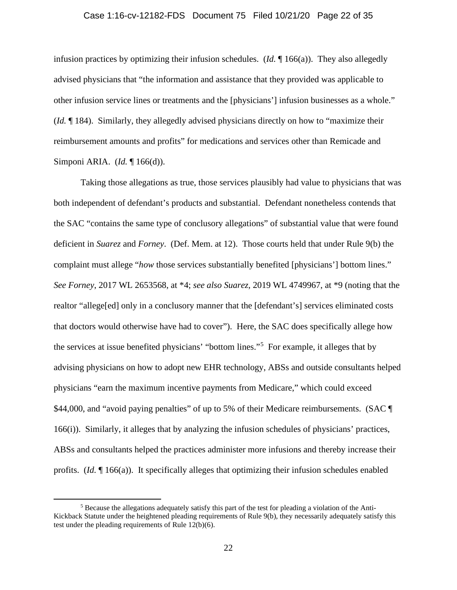### Case 1:16-cv-12182-FDS Document 75 Filed 10/21/20 Page 22 of 35

infusion practices by optimizing their infusion schedules. (*Id.* ¶ 166(a)). They also allegedly advised physicians that "the information and assistance that they provided was applicable to other infusion service lines or treatments and the [physicians'] infusion businesses as a whole." (*Id.* ¶ 184). Similarly, they allegedly advised physicians directly on how to "maximize their reimbursement amounts and profits" for medications and services other than Remicade and Simponi ARIA. (*Id.* ¶ 166(d)).

Taking those allegations as true, those services plausibly had value to physicians that was both independent of defendant's products and substantial. Defendant nonetheless contends that the SAC "contains the same type of conclusory allegations" of substantial value that were found deficient in *Suarez* and *Forney*. (Def. Mem. at 12). Those courts held that under Rule 9(b) the complaint must allege "*how* those services substantially benefited [physicians'] bottom lines." *See Forney*, 2017 WL 2653568, at \*4; *see also Suarez*, 2019 WL 4749967, at \*9 (noting that the realtor "allege[ed] only in a conclusory manner that the [defendant's] services eliminated costs that doctors would otherwise have had to cover"). Here, the SAC does specifically allege how the services at issue benefited physicians' "bottom lines."<sup>5</sup> For example, it alleges that by advising physicians on how to adopt new EHR technology, ABSs and outside consultants helped physicians "earn the maximum incentive payments from Medicare," which could exceed \$44,000, and "avoid paying penalties" of up to 5% of their Medicare reimbursements. (SAC ¶ 166(i)). Similarly, it alleges that by analyzing the infusion schedules of physicians' practices, ABSs and consultants helped the practices administer more infusions and thereby increase their profits. (*Id.* ¶ 166(a)). It specifically alleges that optimizing their infusion schedules enabled

<sup>5</sup> Because the allegations adequately satisfy this part of the test for pleading a violation of the Anti-Kickback Statute under the heightened pleading requirements of Rule 9(b), they necessarily adequately satisfy this test under the pleading requirements of Rule 12(b)(6).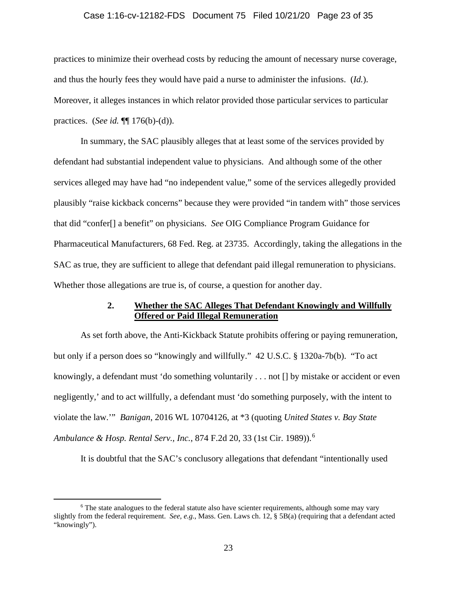### Case 1:16-cv-12182-FDS Document 75 Filed 10/21/20 Page 23 of 35

practices to minimize their overhead costs by reducing the amount of necessary nurse coverage, and thus the hourly fees they would have paid a nurse to administer the infusions. (*Id.*). Moreover, it alleges instances in which relator provided those particular services to particular practices. (*See id.* ¶¶ 176(b)-(d)).

In summary, the SAC plausibly alleges that at least some of the services provided by defendant had substantial independent value to physicians. And although some of the other services alleged may have had "no independent value," some of the services allegedly provided plausibly "raise kickback concerns" because they were provided "in tandem with" those services that did "confer[] a benefit" on physicians. *See* OIG Compliance Program Guidance for Pharmaceutical Manufacturers, 68 Fed. Reg. at 23735. Accordingly, taking the allegations in the SAC as true, they are sufficient to allege that defendant paid illegal remuneration to physicians. Whether those allegations are true is, of course, a question for another day.

## **2. Whether the SAC Alleges That Defendant Knowingly and Willfully Offered or Paid Illegal Remuneration**

As set forth above, the Anti-Kickback Statute prohibits offering or paying remuneration, but only if a person does so "knowingly and willfully." 42 U.S.C. § 1320a-7b(b). "To act knowingly, a defendant must 'do something voluntarily . . . not [] by mistake or accident or even negligently,' and to act willfully, a defendant must 'do something purposely, with the intent to violate the law.'" *Banigan*, 2016 WL 10704126, at \*3 (quoting *United States v. Bay State Ambulance & Hosp. Rental Serv., Inc.*, 874 F.2d 20, 33 (1st Cir. 1989)).<sup>6</sup>

It is doubtful that the SAC's conclusory allegations that defendant "intentionally used

<sup>&</sup>lt;sup>6</sup> The state analogues to the federal statute also have scienter requirements, although some may vary slightly from the federal requirement. *See, e.g.*, Mass. Gen. Laws ch. 12, § 5B(a) (requiring that a defendant acted "knowingly").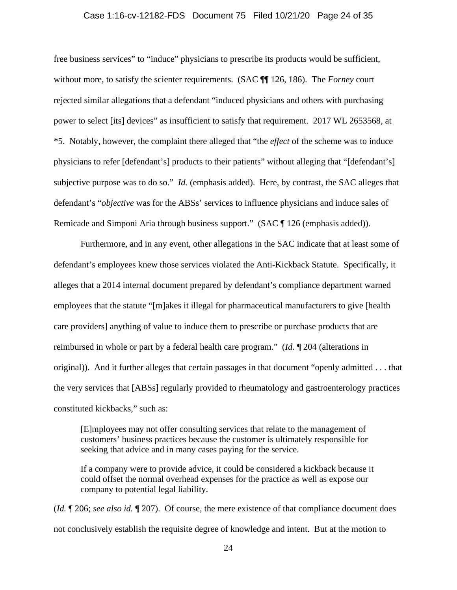### Case 1:16-cv-12182-FDS Document 75 Filed 10/21/20 Page 24 of 35

free business services" to "induce" physicians to prescribe its products would be sufficient, without more, to satisfy the scienter requirements. (SAC ¶¶ 126, 186). The *Forney* court rejected similar allegations that a defendant "induced physicians and others with purchasing power to select [its] devices" as insufficient to satisfy that requirement. 2017 WL 2653568, at \*5. Notably, however, the complaint there alleged that "the *effect* of the scheme was to induce physicians to refer [defendant's] products to their patients" without alleging that "[defendant's] subjective purpose was to do so." *Id.* (emphasis added). Here, by contrast, the SAC alleges that defendant's "*objective* was for the ABSs' services to influence physicians and induce sales of Remicade and Simponi Aria through business support." (SAC ¶ 126 (emphasis added)).

Furthermore, and in any event, other allegations in the SAC indicate that at least some of defendant's employees knew those services violated the Anti-Kickback Statute. Specifically, it alleges that a 2014 internal document prepared by defendant's compliance department warned employees that the statute "[m]akes it illegal for pharmaceutical manufacturers to give [health care providers] anything of value to induce them to prescribe or purchase products that are reimbursed in whole or part by a federal health care program." (*Id.* ¶ 204 (alterations in original)). And it further alleges that certain passages in that document "openly admitted . . . that the very services that [ABSs] regularly provided to rheumatology and gastroenterology practices constituted kickbacks," such as:

[E]mployees may not offer consulting services that relate to the management of customers' business practices because the customer is ultimately responsible for seeking that advice and in many cases paying for the service.

If a company were to provide advice, it could be considered a kickback because it could offset the normal overhead expenses for the practice as well as expose our company to potential legal liability.

(*Id.* ¶ 206; *see also id.* ¶ 207). Of course, the mere existence of that compliance document does not conclusively establish the requisite degree of knowledge and intent. But at the motion to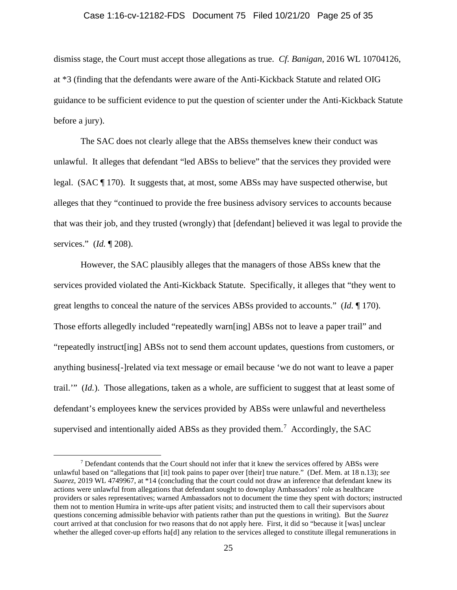#### Case 1:16-cv-12182-FDS Document 75 Filed 10/21/20 Page 25 of 35

dismiss stage, the Court must accept those allegations as true. *Cf. Banigan*, 2016 WL 10704126, at \*3 (finding that the defendants were aware of the Anti-Kickback Statute and related OIG guidance to be sufficient evidence to put the question of scienter under the Anti-Kickback Statute before a jury).

The SAC does not clearly allege that the ABSs themselves knew their conduct was unlawful. It alleges that defendant "led ABSs to believe" that the services they provided were legal. (SAC ¶ 170). It suggests that, at most, some ABSs may have suspected otherwise, but alleges that they "continued to provide the free business advisory services to accounts because that was their job, and they trusted (wrongly) that [defendant] believed it was legal to provide the services." (*Id.* ¶ 208).

However, the SAC plausibly alleges that the managers of those ABSs knew that the services provided violated the Anti-Kickback Statute. Specifically, it alleges that "they went to great lengths to conceal the nature of the services ABSs provided to accounts." (*Id.* ¶ 170). Those efforts allegedly included "repeatedly warn[ing] ABSs not to leave a paper trail" and "repeatedly instruct[ing] ABSs not to send them account updates, questions from customers, or anything business[-]related via text message or email because 'we do not want to leave a paper trail.'" (*Id.*). Those allegations, taken as a whole, are sufficient to suggest that at least some of defendant's employees knew the services provided by ABSs were unlawful and nevertheless supervised and intentionally aided ABSs as they provided them.<sup>7</sup> Accordingly, the SAC

<sup>7</sup> Defendant contends that the Court should not infer that it knew the services offered by ABSs were unlawful based on "allegations that [it] took pains to paper over [their] true nature." (Def. Mem. at 18 n.13); *see Suarez*, 2019 WL 4749967, at \*14 (concluding that the court could not draw an inference that defendant knew its actions were unlawful from allegations that defendant sought to downplay Ambassadors' role as healthcare providers or sales representatives; warned Ambassadors not to document the time they spent with doctors; instructed them not to mention Humira in write-ups after patient visits; and instructed them to call their supervisors about questions concerning admissible behavior with patients rather than put the questions in writing). But the *Suarez* court arrived at that conclusion for two reasons that do not apply here. First, it did so "because it [was] unclear whether the alleged cover-up efforts ha[d] any relation to the services alleged to constitute illegal remunerations in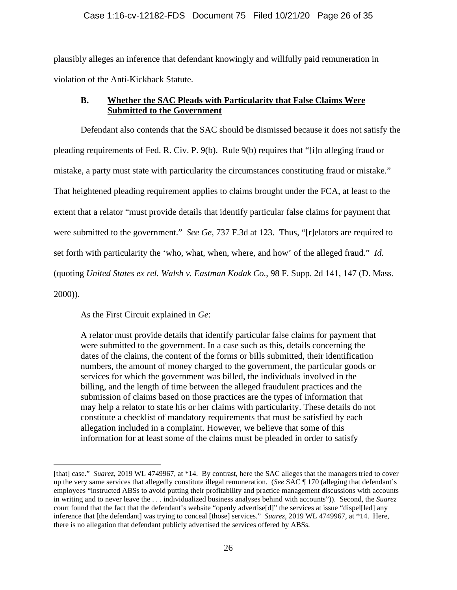## Case 1:16-cv-12182-FDS Document 75 Filed 10/21/20 Page 26 of 35

plausibly alleges an inference that defendant knowingly and willfully paid remuneration in violation of the Anti-Kickback Statute.

## **B. Whether the SAC Pleads with Particularity that False Claims Were Submitted to the Government**

Defendant also contends that the SAC should be dismissed because it does not satisfy the pleading requirements of Fed. R. Civ. P. 9(b). Rule 9(b) requires that "[i]n alleging fraud or mistake, a party must state with particularity the circumstances constituting fraud or mistake." That heightened pleading requirement applies to claims brought under the FCA, at least to the extent that a relator "must provide details that identify particular false claims for payment that were submitted to the government." *See Ge*, 737 F.3d at 123. Thus, "[r]elators are required to set forth with particularity the 'who, what, when, where, and how' of the alleged fraud." *Id.* (quoting *United States ex rel. Walsh v. Eastman Kodak Co.*, 98 F. Supp. 2d 141, 147 (D. Mass. 2000)).

As the First Circuit explained in *Ge*:

A relator must provide details that identify particular false claims for payment that were submitted to the government. In a case such as this, details concerning the dates of the claims, the content of the forms or bills submitted, their identification numbers, the amount of money charged to the government, the particular goods or services for which the government was billed, the individuals involved in the billing, and the length of time between the alleged fraudulent practices and the submission of claims based on those practices are the types of information that may help a relator to state his or her claims with particularity. These details do not constitute a checklist of mandatory requirements that must be satisfied by each allegation included in a complaint. However, we believe that some of this information for at least some of the claims must be pleaded in order to satisfy

<sup>[</sup>that] case." *Suarez*, 2019 WL 4749967, at \*14. By contrast, here the SAC alleges that the managers tried to cover up the very same services that allegedly constitute illegal remuneration. (*See* SAC ¶ 170 (alleging that defendant's employees "instructed ABSs to avoid putting their profitability and practice management discussions with accounts in writing and to never leave the . . . individualized business analyses behind with accounts")). Second, the *Suarez* court found that the fact that the defendant's website "openly advertise[d]" the services at issue "dispel[led] any inference that [the defendant] was trying to conceal [those] services." *Suarez*, 2019 WL 4749967, at \*14. Here, there is no allegation that defendant publicly advertised the services offered by ABSs.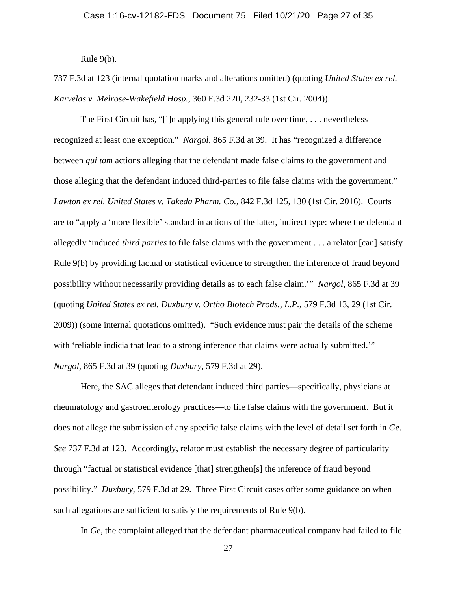Rule 9(b).

737 F.3d at 123 (internal quotation marks and alterations omitted) (quoting *United States ex rel. Karvelas v. Melrose-Wakefield Hosp.*, 360 F.3d 220, 232-33 (1st Cir. 2004)).

The First Circuit has, "[i]n applying this general rule over time, . . . nevertheless recognized at least one exception." *Nargol*, 865 F.3d at 39. It has "recognized a difference between *qui tam* actions alleging that the defendant made false claims to the government and those alleging that the defendant induced third-parties to file false claims with the government." *Lawton ex rel. United States v. Takeda Pharm. Co.*, 842 F.3d 125, 130 (1st Cir. 2016). Courts are to "apply a 'more flexible' standard in actions of the latter, indirect type: where the defendant allegedly 'induced *third parties* to file false claims with the government . . . a relator [can] satisfy Rule 9(b) by providing factual or statistical evidence to strengthen the inference of fraud beyond possibility without necessarily providing details as to each false claim.'" *Nargol*, 865 F.3d at 39 (quoting *United States ex rel. Duxbury v. Ortho Biotech Prods., L.P.*, 579 F.3d 13, 29 (1st Cir. 2009)) (some internal quotations omitted). "Such evidence must pair the details of the scheme with 'reliable indicia that lead to a strong inference that claims were actually submitted." *Nargol*, 865 F.3d at 39 (quoting *Duxbury*, 579 F.3d at 29).

Here, the SAC alleges that defendant induced third parties—specifically, physicians at rheumatology and gastroenterology practices—to file false claims with the government. But it does not allege the submission of any specific false claims with the level of detail set forth in *Ge*. *See* 737 F.3d at 123. Accordingly, relator must establish the necessary degree of particularity through "factual or statistical evidence [that] strengthen[s] the inference of fraud beyond possibility." *Duxbury*, 579 F.3d at 29. Three First Circuit cases offer some guidance on when such allegations are sufficient to satisfy the requirements of Rule 9(b).

In *Ge*, the complaint alleged that the defendant pharmaceutical company had failed to file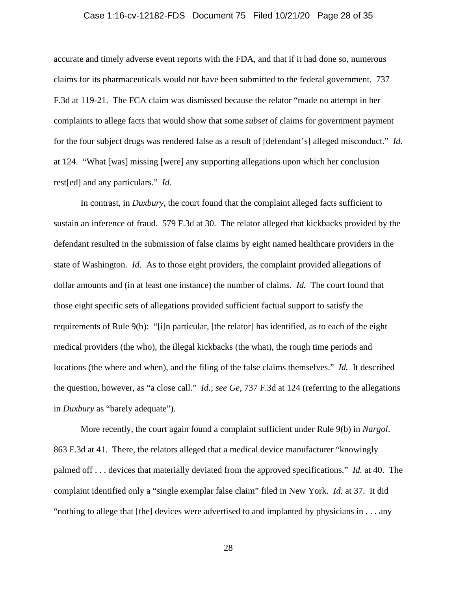### Case 1:16-cv-12182-FDS Document 75 Filed 10/21/20 Page 28 of 35

accurate and timely adverse event reports with the FDA, and that if it had done so, numerous claims for its pharmaceuticals would not have been submitted to the federal government. 737 F.3d at 119-21. The FCA claim was dismissed because the relator "made no attempt in her complaints to allege facts that would show that some *subset* of claims for government payment for the four subject drugs was rendered false as a result of [defendant's] alleged misconduct." *Id.* at 124. "What [was] missing [were] any supporting allegations upon which her conclusion rest[ed] and any particulars." *Id.*

In contrast, in *Duxbury*, the court found that the complaint alleged facts sufficient to sustain an inference of fraud. 579 F.3d at 30. The relator alleged that kickbacks provided by the defendant resulted in the submission of false claims by eight named healthcare providers in the state of Washington. *Id.* As to those eight providers, the complaint provided allegations of dollar amounts and (in at least one instance) the number of claims. *Id.* The court found that those eight specific sets of allegations provided sufficient factual support to satisfy the requirements of Rule 9(b): "[i]n particular, [the relator] has identified, as to each of the eight medical providers (the who), the illegal kickbacks (the what), the rough time periods and locations (the where and when), and the filing of the false claims themselves." *Id.* It described the question, however, as "a close call." *Id.*; *see Ge*, 737 F.3d at 124 (referring to the allegations in *Duxbury* as "barely adequate").

More recently, the court again found a complaint sufficient under Rule 9(b) in *Nargol*. 863 F.3d at 41. There, the relators alleged that a medical device manufacturer "knowingly palmed off . . . devices that materially deviated from the approved specifications." *Id.* at 40. The complaint identified only a "single exemplar false claim" filed in New York. *Id.* at 37. It did "nothing to allege that [the] devices were advertised to and implanted by physicians in . . . any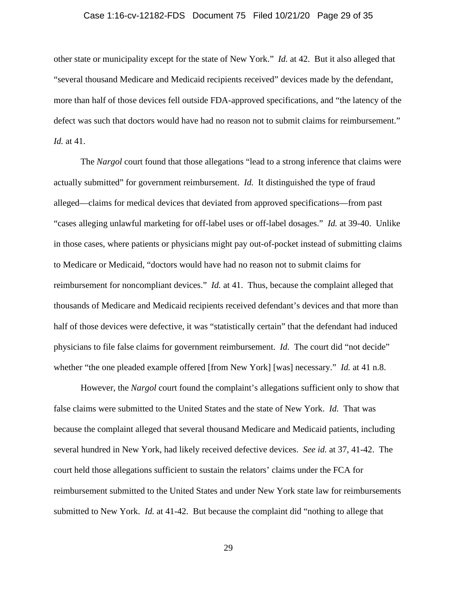### Case 1:16-cv-12182-FDS Document 75 Filed 10/21/20 Page 29 of 35

other state or municipality except for the state of New York." *Id.* at 42. But it also alleged that "several thousand Medicare and Medicaid recipients received" devices made by the defendant, more than half of those devices fell outside FDA-approved specifications, and "the latency of the defect was such that doctors would have had no reason not to submit claims for reimbursement." *Id.* at 41.

The *Nargol* court found that those allegations "lead to a strong inference that claims were actually submitted" for government reimbursement. *Id.* It distinguished the type of fraud alleged—claims for medical devices that deviated from approved specifications—from past "cases alleging unlawful marketing for off-label uses or off-label dosages." *Id.* at 39-40. Unlike in those cases, where patients or physicians might pay out-of-pocket instead of submitting claims to Medicare or Medicaid, "doctors would have had no reason not to submit claims for reimbursement for noncompliant devices." *Id.* at 41. Thus, because the complaint alleged that thousands of Medicare and Medicaid recipients received defendant's devices and that more than half of those devices were defective, it was "statistically certain" that the defendant had induced physicians to file false claims for government reimbursement. *Id.* The court did "not decide" whether "the one pleaded example offered [from New York] [was] necessary." *Id.* at 41 n.8.

However, the *Nargol* court found the complaint's allegations sufficient only to show that false claims were submitted to the United States and the state of New York. *Id.* That was because the complaint alleged that several thousand Medicare and Medicaid patients, including several hundred in New York, had likely received defective devices. *See id.* at 37, 41-42. The court held those allegations sufficient to sustain the relators' claims under the FCA for reimbursement submitted to the United States and under New York state law for reimbursements submitted to New York. *Id.* at 41-42. But because the complaint did "nothing to allege that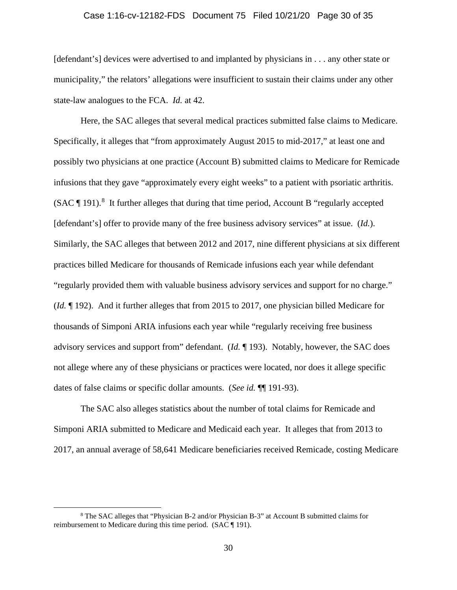### Case 1:16-cv-12182-FDS Document 75 Filed 10/21/20 Page 30 of 35

[defendant's] devices were advertised to and implanted by physicians in . . . any other state or municipality," the relators' allegations were insufficient to sustain their claims under any other state-law analogues to the FCA. *Id.* at 42.

Here, the SAC alleges that several medical practices submitted false claims to Medicare. Specifically, it alleges that "from approximately August 2015 to mid-2017," at least one and possibly two physicians at one practice (Account B) submitted claims to Medicare for Remicade infusions that they gave "approximately every eight weeks" to a patient with psoriatic arthritis. (SAC  $\P$  191).<sup>8</sup> It further alleges that during that time period, Account B "regularly accepted [defendant's] offer to provide many of the free business advisory services" at issue. *(Id.)*. Similarly, the SAC alleges that between 2012 and 2017, nine different physicians at six different practices billed Medicare for thousands of Remicade infusions each year while defendant "regularly provided them with valuable business advisory services and support for no charge." (*Id.* ¶ 192). And it further alleges that from 2015 to 2017, one physician billed Medicare for thousands of Simponi ARIA infusions each year while "regularly receiving free business advisory services and support from" defendant. (*Id.* ¶ 193). Notably, however, the SAC does not allege where any of these physicians or practices were located, nor does it allege specific dates of false claims or specific dollar amounts. (*See id.* ¶¶ 191-93).

The SAC also alleges statistics about the number of total claims for Remicade and Simponi ARIA submitted to Medicare and Medicaid each year. It alleges that from 2013 to 2017, an annual average of 58,641 Medicare beneficiaries received Remicade, costing Medicare

<sup>8</sup> The SAC alleges that "Physician B-2 and/or Physician B-3" at Account B submitted claims for reimbursement to Medicare during this time period. (SAC ¶ 191).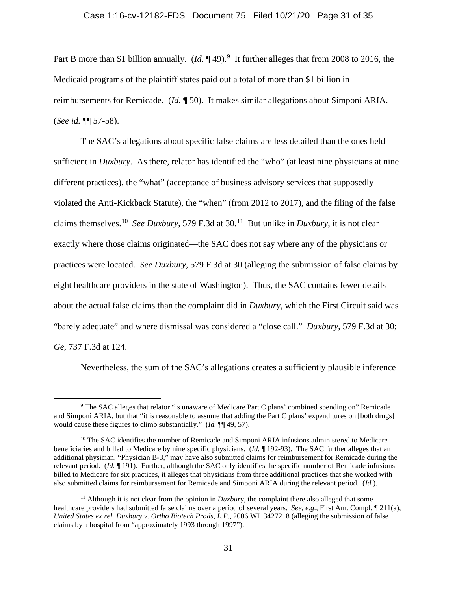Part B more than \$1 billion annually.  $(Id. \P 49)$ .<sup>9</sup> It further alleges that from 2008 to 2016, the Medicaid programs of the plaintiff states paid out a total of more than \$1 billion in reimbursements for Remicade. (*Id.* ¶ 50). It makes similar allegations about Simponi ARIA. (*See id.* ¶¶ 57-58).

The SAC's allegations about specific false claims are less detailed than the ones held sufficient in *Duxbury*. As there, relator has identified the "who" (at least nine physicians at nine different practices), the "what" (acceptance of business advisory services that supposedly violated the Anti-Kickback Statute), the "when" (from 2012 to 2017), and the filing of the false claims themselves.10 *See Duxbury*, 579 F.3d at 30.11 But unlike in *Duxbury*, it is not clear exactly where those claims originated—the SAC does not say where any of the physicians or practices were located. *See Duxbury*, 579 F.3d at 30 (alleging the submission of false claims by eight healthcare providers in the state of Washington). Thus, the SAC contains fewer details about the actual false claims than the complaint did in *Duxbury*, which the First Circuit said was "barely adequate" and where dismissal was considered a "close call." *Duxbury*, 579 F.3d at 30; *Ge*, 737 F.3d at 124.

Nevertheless, the sum of the SAC's allegations creates a sufficiently plausible inference

<sup>9</sup> The SAC alleges that relator "is unaware of Medicare Part C plans' combined spending on" Remicade and Simponi ARIA, but that "it is reasonable to assume that adding the Part C plans' expenditures on [both drugs] would cause these figures to climb substantially." (*Id.* ¶¶ 49, 57).

<sup>&</sup>lt;sup>10</sup> The SAC identifies the number of Remicade and Simponi ARIA infusions administered to Medicare beneficiaries and billed to Medicare by nine specific physicians. (*Id.* ¶ 192-93). The SAC further alleges that an additional physician, "Physician B-3," may have also submitted claims for reimbursement for Remicade during the relevant period. (*Id.* ¶ 191). Further, although the SAC only identifies the specific number of Remicade infusions billed to Medicare for six practices, it alleges that physicians from three additional practices that she worked with also submitted claims for reimbursement for Remicade and Simponi ARIA during the relevant period. (*Id.*).

<sup>&</sup>lt;sup>11</sup> Although it is not clear from the opinion in *Duxbury*, the complaint there also alleged that some healthcare providers had submitted false claims over a period of several years. *See, e.g.*, First Am. Compl. ¶ 211(a), *United States ex rel. Duxbury v. Ortho Biotech Prods, L.P.*, 2006 WL 3427218 (alleging the submission of false claims by a hospital from "approximately 1993 through 1997").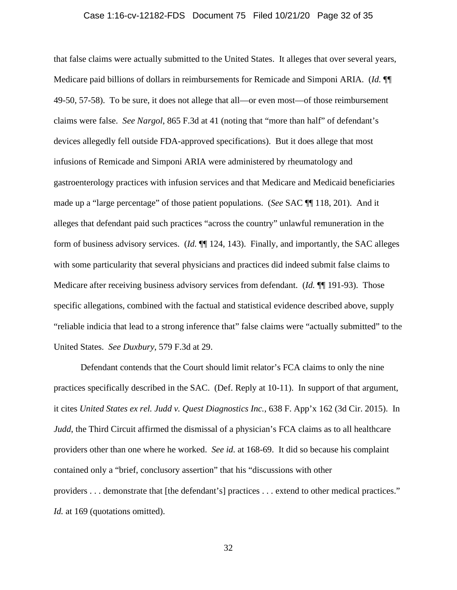### Case 1:16-cv-12182-FDS Document 75 Filed 10/21/20 Page 32 of 35

that false claims were actually submitted to the United States. It alleges that over several years, Medicare paid billions of dollars in reimbursements for Remicade and Simponi ARIA. (*Id.* ¶¶ 49-50, 57-58). To be sure, it does not allege that all—or even most—of those reimbursement claims were false. *See Nargol*, 865 F.3d at 41 (noting that "more than half" of defendant's devices allegedly fell outside FDA-approved specifications). But it does allege that most infusions of Remicade and Simponi ARIA were administered by rheumatology and gastroenterology practices with infusion services and that Medicare and Medicaid beneficiaries made up a "large percentage" of those patient populations. (*See* SAC ¶¶ 118, 201). And it alleges that defendant paid such practices "across the country" unlawful remuneration in the form of business advisory services. (*Id.* ¶¶ 124, 143). Finally, and importantly, the SAC alleges with some particularity that several physicians and practices did indeed submit false claims to Medicare after receiving business advisory services from defendant. (*Id.* ¶¶ 191-93). Those specific allegations, combined with the factual and statistical evidence described above, supply "reliable indicia that lead to a strong inference that" false claims were "actually submitted" to the United States. *See Duxbury*, 579 F.3d at 29.

Defendant contends that the Court should limit relator's FCA claims to only the nine practices specifically described in the SAC. (Def. Reply at 10-11). In support of that argument, it cites *United States ex rel. Judd v. Quest Diagnostics Inc.*, 638 F. App'x 162 (3d Cir. 2015). In *Judd*, the Third Circuit affirmed the dismissal of a physician's FCA claims as to all healthcare providers other than one where he worked. *See id.* at 168-69. It did so because his complaint contained only a "brief, conclusory assertion" that his "discussions with other providers . . . demonstrate that [the defendant's] practices . . . extend to other medical practices." *Id.* at 169 (quotations omitted).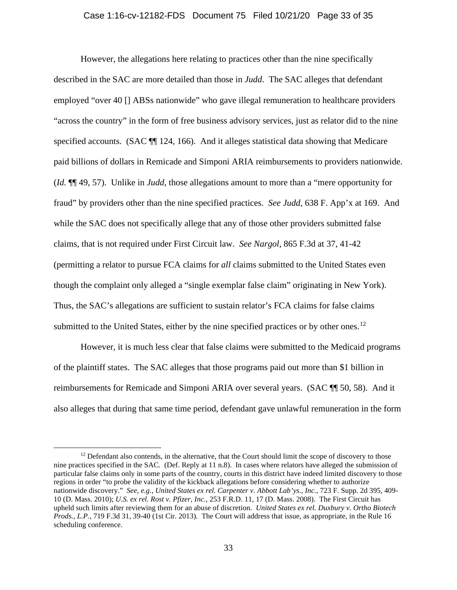#### Case 1:16-cv-12182-FDS Document 75 Filed 10/21/20 Page 33 of 35

However, the allegations here relating to practices other than the nine specifically described in the SAC are more detailed than those in *Judd*. The SAC alleges that defendant employed "over 40 [] ABSs nationwide" who gave illegal remuneration to healthcare providers "across the country" in the form of free business advisory services, just as relator did to the nine specified accounts. (SAC  $\P$  124, 166). And it alleges statistical data showing that Medicare paid billions of dollars in Remicade and Simponi ARIA reimbursements to providers nationwide. (*Id.* ¶¶ 49, 57). Unlike in *Judd*, those allegations amount to more than a "mere opportunity for fraud" by providers other than the nine specified practices. *See Judd*, 638 F. App'x at 169. And while the SAC does not specifically allege that any of those other providers submitted false claims, that is not required under First Circuit law. *See Nargol*, 865 F.3d at 37, 41-42 (permitting a relator to pursue FCA claims for *all* claims submitted to the United States even though the complaint only alleged a "single exemplar false claim" originating in New York). Thus, the SAC's allegations are sufficient to sustain relator's FCA claims for false claims submitted to the United States, either by the nine specified practices or by other ones.<sup>12</sup>

However, it is much less clear that false claims were submitted to the Medicaid programs of the plaintiff states. The SAC alleges that those programs paid out more than \$1 billion in reimbursements for Remicade and Simponi ARIA over several years. (SAC ¶¶ 50, 58). And it also alleges that during that same time period, defendant gave unlawful remuneration in the form

 $12$  Defendant also contends, in the alternative, that the Court should limit the scope of discovery to those nine practices specified in the SAC. (Def. Reply at 11 n.8). In cases where relators have alleged the submission of particular false claims only in some parts of the country, courts in this district have indeed limited discovery to those regions in order "to probe the validity of the kickback allegations before considering whether to authorize nationwide discovery." *See, e.g.*, *United States ex rel. Carpenter v. Abbott Lab'ys., Inc.*, 723 F. Supp. 2d 395, 409- 10 (D. Mass. 2010); *U.S. ex rel. Rost v. Pfizer, Inc.*, 253 F.R.D. 11, 17 (D. Mass. 2008). The First Circuit has upheld such limits after reviewing them for an abuse of discretion. *United States ex rel. Duxbury v. Ortho Biotech Prods., L.P.*, 719 F.3d 31, 39-40 (1st Cir. 2013). The Court will address that issue, as appropriate, in the Rule 16 scheduling conference.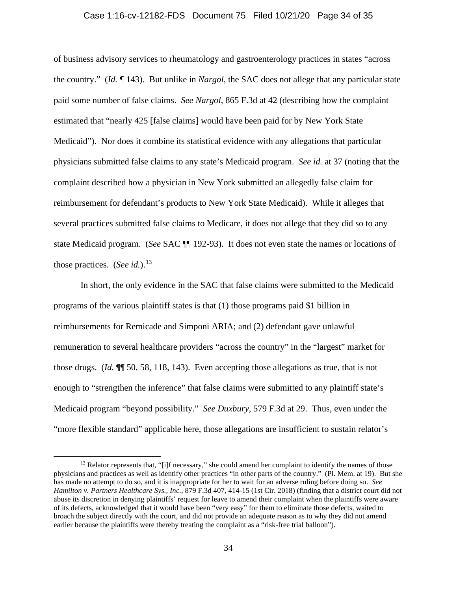#### Case 1:16-cv-12182-FDS Document 75 Filed 10/21/20 Page 34 of 35

of business advisory services to rheumatology and gastroenterology practices in states "across the country." (*Id.* ¶ 143). But unlike in *Nargol*, the SAC does not allege that any particular state paid some number of false claims. *See Nargol*, 865 F.3d at 42 (describing how the complaint estimated that "nearly 425 [false claims] would have been paid for by New York State Medicaid"). Nor does it combine its statistical evidence with any allegations that particular physicians submitted false claims to any state's Medicaid program. *See id.* at 37 (noting that the complaint described how a physician in New York submitted an allegedly false claim for reimbursement for defendant's products to New York State Medicaid). While it alleges that several practices submitted false claims to Medicare, it does not allege that they did so to any state Medicaid program. (*See* SAC ¶¶ 192-93). It does not even state the names or locations of those practices. (*See id.*).<sup>13</sup>

In short, the only evidence in the SAC that false claims were submitted to the Medicaid programs of the various plaintiff states is that (1) those programs paid \$1 billion in reimbursements for Remicade and Simponi ARIA; and (2) defendant gave unlawful remuneration to several healthcare providers "across the country" in the "largest" market for those drugs. (*Id.* ¶¶ 50, 58, 118, 143). Even accepting those allegations as true, that is not enough to "strengthen the inference" that false claims were submitted to any plaintiff state's Medicaid program "beyond possibility." *See Duxbury*, 579 F.3d at 29. Thus, even under the "more flexible standard" applicable here, those allegations are insufficient to sustain relator's

 $13$  Relator represents that, "[i]f necessary," she could amend her complaint to identify the names of those physicians and practices as well as identify other practices "in other parts of the country." (Pl. Mem. at 19). But she has made no attempt to do so, and it is inappropriate for her to wait for an adverse ruling before doing so. *See Hamilton v. Partners Healthcare Sys., Inc.*, 879 F.3d 407, 414-15 (1st Cir. 2018) (finding that a district court did not abuse its discretion in denying plaintiffs' request for leave to amend their complaint when the plaintiffs were aware of its defects, acknowledged that it would have been "very easy" for them to eliminate those defects, waited to broach the subject directly with the court, and did not provide an adequate reason as to why they did not amend earlier because the plaintiffs were thereby treating the complaint as a "risk-free trial balloon").